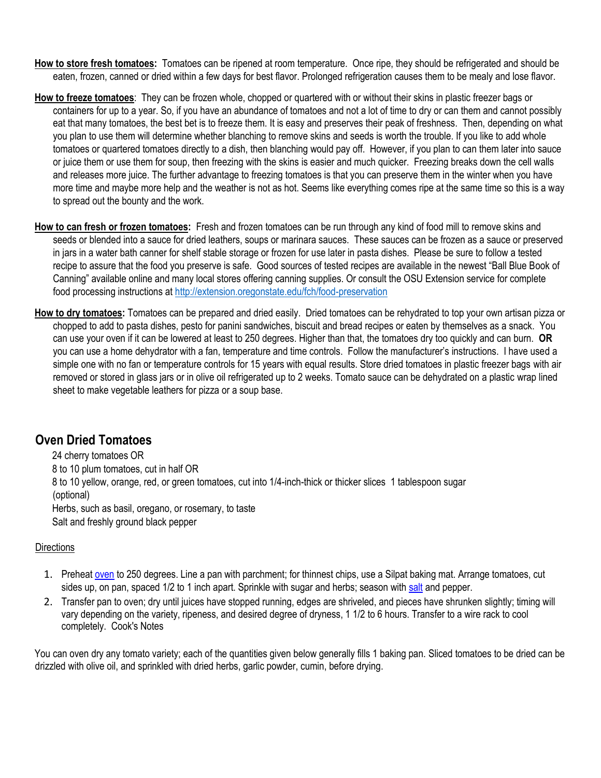- **How to store fresh tomatoes:** Tomatoes can be ripened at room temperature. Once ripe, they should be refrigerated and should be eaten, frozen, canned or dried within a few days for best flavor. Prolonged refrigeration causes them to be mealy and lose flavor.
- **How to freeze tomatoes**: They can be frozen whole, chopped or quartered with or without their skins in plastic freezer bags or containers for up to a year. So, if you have an abundance of tomatoes and not a lot of time to dry or can them and cannot possibly eat that many tomatoes, the best bet is to freeze them. It is easy and preserves their peak of freshness. Then, depending on what you plan to use them will determine whether blanching to remove skins and seeds is worth the trouble. If you like to add whole tomatoes or quartered tomatoes directly to a dish, then blanching would pay off. However, if you plan to can them later into sauce or juice them or use them for soup, then freezing with the skins is easier and much quicker. Freezing breaks down the cell walls and releases more juice. The further advantage to freezing tomatoes is that you can preserve them in the winter when you have more time and maybe more help and the weather is not as hot. Seems like everything comes ripe at the same time so this is a way to spread out the bounty and the work.
- **How to can fresh or frozen tomatoes:** Fresh and frozen tomatoes can be run through any kind of food mill to remove skins and seeds or blended into a sauce for dried leathers, soups or marinara sauces. These sauces can be frozen as a sauce or preserved in jars in a water bath canner for shelf stable storage or frozen for use later in pasta dishes. Please be sure to follow a tested recipe to assure that the food you preserve is safe. Good sources of tested recipes are available in the newest "Ball Blue Book of Canning" available online and many local stores offering canning supplies. Or consult the OSU Extension service for complete food processing instructions at<http://extension.oregonstate.edu/fch/food-preservation>
- **How to dry tomatoes:** Tomatoes can be prepared and dried easily. Dried tomatoes can be rehydrated to top your own artisan pizza or chopped to add to pasta dishes, pesto for panini sandwiches, biscuit and bread recipes or eaten by themselves as a snack. You can use your oven if it can be lowered at least to 250 degrees. Higher than that, the tomatoes dry too quickly and can burn. **OR** you can use a home dehydrator with a fan, temperature and time controls. Follow the manufacturer's instructions. I have used a simple one with no fan or temperature controls for 15 years with equal results. Store dried tomatoes in plastic freezer bags with air removed or stored in glass jars or in olive oil refrigerated up to 2 weeks. Tomato sauce can be dehydrated on a plastic wrap lined sheet to make vegetable leathers for pizza or a soup base.

# **Oven Dried Tomatoes**

24 cherry tomatoes OR 8 to 10 plum tomatoes, cut in half OR 8 to 10 yellow, orange, red, or green tomatoes, cut into 1/4-inch-thick or thicker slices 1 tablespoon sugar (optional) Herbs, such as basil, oregano, or rosemary, to taste Salt and freshly ground black pepper

## **Directions**

- 1. Preheat [oven](http://www1.macys.com/shop/search?keyword=oven) to 250 degrees. Line a pan with parchment; for thinnest chips, use a Silpat baking mat. Arrange tomatoes, cut sides up, on pan, spaced 1/2 to 1 inch apart. Sprinkle with sugar and herbs; season wit[h salt](http://www.amazon.com/Gourmet-Salt-Sampler-Das/dp/B009M9LAMW/) and pepper.
- 2. Transfer pan to oven; dry until juices have stopped running, edges are shriveled, and pieces have shrunken slightly; timing will vary depending on the variety, ripeness, and desired degree of dryness, 1 1/2 to 6 hours. Transfer to a wire rack to cool completely. Cook's Notes

You can oven dry any tomato variety; each of the quantities given below generally fills 1 baking pan. Sliced tomatoes to be dried can be drizzled with olive oil, and sprinkled with dried herbs, garlic powder, cumin, before drying.